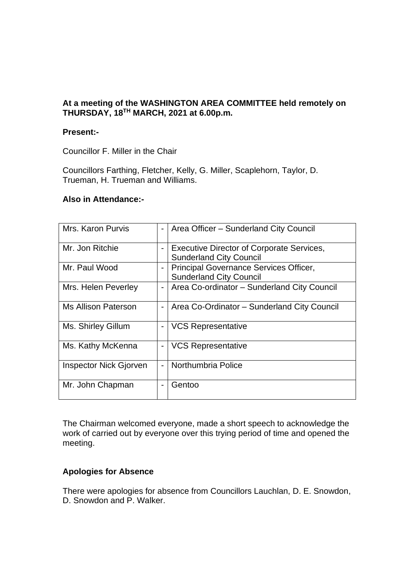# **At a meeting of the WASHINGTON AREA COMMITTEE held remotely on THURSDAY, 18 TH MARCH, 2021 at 6.00p.m.**

#### **Present:-**

Councillor F. Miller in the Chair

Councillors Farthing, Fletcher, Kelly, G. Miller, Scaplehorn, Taylor, D. Trueman, H. Trueman and Williams.

#### **Also in Attendance:-**

| Mrs. Karon Purvis      | $\overline{\phantom{0}}$ | Area Officer - Sunderland City Council                                             |
|------------------------|--------------------------|------------------------------------------------------------------------------------|
| Mr. Jon Ritchie        | -                        | <b>Executive Director of Corporate Services,</b><br><b>Sunderland City Council</b> |
| Mr. Paul Wood          | -                        | Principal Governance Services Officer,<br><b>Sunderland City Council</b>           |
| Mrs. Helen Peverley    | -                        | Area Co-ordinator - Sunderland City Council                                        |
| Ms Allison Paterson    | $\overline{\phantom{0}}$ | Area Co-Ordinator - Sunderland City Council                                        |
| Ms. Shirley Gillum     | -                        | <b>VCS Representative</b>                                                          |
| Ms. Kathy McKenna      | -                        | <b>VCS Representative</b>                                                          |
| Inspector Nick Gjorven | $\overline{\phantom{0}}$ | Northumbria Police                                                                 |
| Mr. John Chapman       | -                        | Gentoo                                                                             |

The Chairman welcomed everyone, made a short speech to acknowledge the work of carried out by everyone over this trying period of time and opened the meeting.

#### **Apologies for Absence**

There were apologies for absence from Councillors Lauchlan, D. E. Snowdon, D. Snowdon and P. Walker.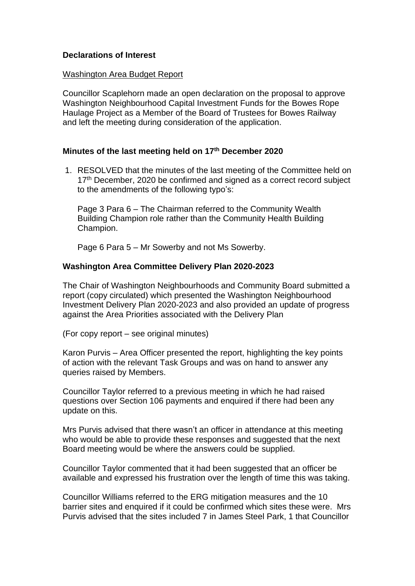### **Declarations of Interest**

#### Washington Area Budget Report

Councillor Scaplehorn made an open declaration on the proposal to approve Washington Neighbourhood Capital Investment Funds for the Bowes Rope Haulage Project as a Member of the Board of Trustees for Bowes Railway and left the meeting during consideration of the application.

#### **Minutes of the last meeting held on 17th December 2020**

1. RESOLVED that the minutes of the last meeting of the Committee held on 17<sup>th</sup> December, 2020 be confirmed and signed as a correct record subject to the amendments of the following typo's:

Page 3 Para 6 – The Chairman referred to the Community Wealth Building Champion role rather than the Community Health Building Champion.

Page 6 Para 5 – Mr Sowerby and not Ms Sowerby.

#### **Washington Area Committee Delivery Plan 2020-2023**

The Chair of Washington Neighbourhoods and Community Board submitted a report (copy circulated) which presented the Washington Neighbourhood Investment Delivery Plan 2020-2023 and also provided an update of progress against the Area Priorities associated with the Delivery Plan

(For copy report – see original minutes)

Karon Purvis – Area Officer presented the report, highlighting the key points of action with the relevant Task Groups and was on hand to answer any queries raised by Members.

Councillor Taylor referred to a previous meeting in which he had raised questions over Section 106 payments and enquired if there had been any update on this.

Mrs Purvis advised that there wasn't an officer in attendance at this meeting who would be able to provide these responses and suggested that the next Board meeting would be where the answers could be supplied.

Councillor Taylor commented that it had been suggested that an officer be available and expressed his frustration over the length of time this was taking.

Councillor Williams referred to the ERG mitigation measures and the 10 barrier sites and enquired if it could be confirmed which sites these were. Mrs Purvis advised that the sites included 7 in James Steel Park, 1 that Councillor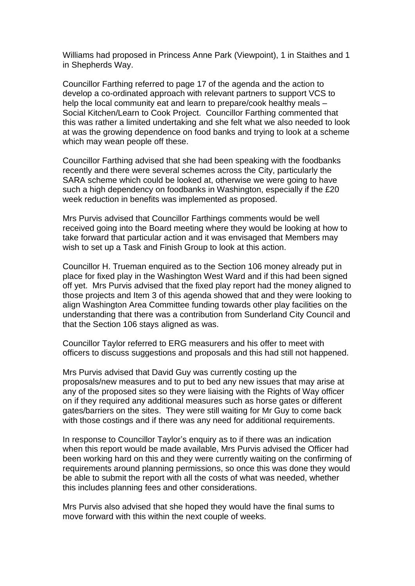Williams had proposed in Princess Anne Park (Viewpoint), 1 in Staithes and 1 in Shepherds Way.

Councillor Farthing referred to page 17 of the agenda and the action to develop a co-ordinated approach with relevant partners to support VCS to help the local community eat and learn to prepare/cook healthy meals – Social Kitchen/Learn to Cook Project. Councillor Farthing commented that this was rather a limited undertaking and she felt what we also needed to look at was the growing dependence on food banks and trying to look at a scheme which may wean people off these.

Councillor Farthing advised that she had been speaking with the foodbanks recently and there were several schemes across the City, particularly the SARA scheme which could be looked at, otherwise we were going to have such a high dependency on foodbanks in Washington, especially if the £20 week reduction in benefits was implemented as proposed.

Mrs Purvis advised that Councillor Farthings comments would be well received going into the Board meeting where they would be looking at how to take forward that particular action and it was envisaged that Members may wish to set up a Task and Finish Group to look at this action.

Councillor H. Trueman enquired as to the Section 106 money already put in place for fixed play in the Washington West Ward and if this had been signed off yet. Mrs Purvis advised that the fixed play report had the money aligned to those projects and Item 3 of this agenda showed that and they were looking to align Washington Area Committee funding towards other play facilities on the understanding that there was a contribution from Sunderland City Council and that the Section 106 stays aligned as was.

Councillor Taylor referred to ERG measurers and his offer to meet with officers to discuss suggestions and proposals and this had still not happened.

Mrs Purvis advised that David Guy was currently costing up the proposals/new measures and to put to bed any new issues that may arise at any of the proposed sites so they were liaising with the Rights of Way officer on if they required any additional measures such as horse gates or different gates/barriers on the sites. They were still waiting for Mr Guy to come back with those costings and if there was any need for additional requirements.

In response to Councillor Taylor's enquiry as to if there was an indication when this report would be made available, Mrs Purvis advised the Officer had been working hard on this and they were currently waiting on the confirming of requirements around planning permissions, so once this was done they would be able to submit the report with all the costs of what was needed, whether this includes planning fees and other considerations.

Mrs Purvis also advised that she hoped they would have the final sums to move forward with this within the next couple of weeks.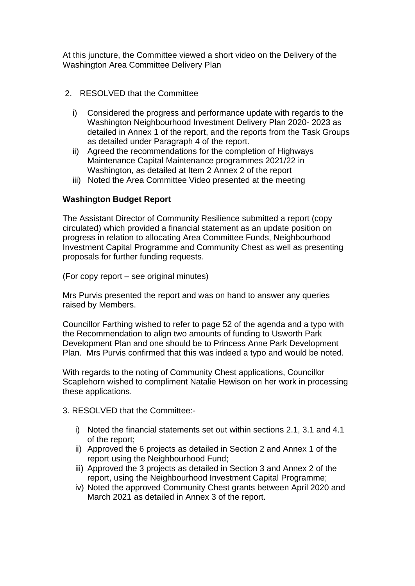At this juncture, the Committee viewed a short video on the Delivery of the Washington Area Committee Delivery Plan

- 2. RESOLVED that the Committee
	- i) Considered the progress and performance update with regards to the Washington Neighbourhood Investment Delivery Plan 2020- 2023 as detailed in Annex 1 of the report, and the reports from the Task Groups as detailed under Paragraph 4 of the report.
	- ii) Agreed the recommendations for the completion of Highways Maintenance Capital Maintenance programmes 2021/22 in Washington, as detailed at Item 2 Annex 2 of the report
	- iii) Noted the Area Committee Video presented at the meeting

## **Washington Budget Report**

The Assistant Director of Community Resilience submitted a report (copy circulated) which provided a financial statement as an update position on progress in relation to allocating Area Committee Funds, Neighbourhood Investment Capital Programme and Community Chest as well as presenting proposals for further funding requests.

(For copy report – see original minutes)

Mrs Purvis presented the report and was on hand to answer any queries raised by Members.

Councillor Farthing wished to refer to page 52 of the agenda and a typo with the Recommendation to align two amounts of funding to Usworth Park Development Plan and one should be to Princess Anne Park Development Plan. Mrs Purvis confirmed that this was indeed a typo and would be noted.

With regards to the noting of Community Chest applications, Councillor Scaplehorn wished to compliment Natalie Hewison on her work in processing these applications.

3. RESOLVED that the Committee:-

- i) Noted the financial statements set out within sections 2.1, 3.1 and 4.1 of the report;
- ii) Approved the 6 projects as detailed in Section 2 and Annex 1 of the report using the Neighbourhood Fund;
- iii) Approved the 3 projects as detailed in Section 3 and Annex 2 of the report, using the Neighbourhood Investment Capital Programme;
- iv) Noted the approved Community Chest grants between April 2020 and March 2021 as detailed in Annex 3 of the report.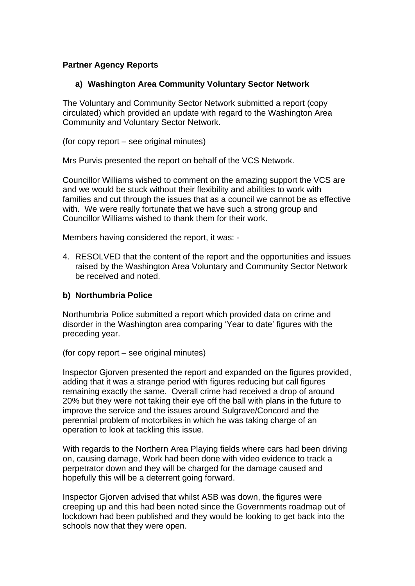### **Partner Agency Reports**

## **a) Washington Area Community Voluntary Sector Network**

The Voluntary and Community Sector Network submitted a report (copy circulated) which provided an update with regard to the Washington Area Community and Voluntary Sector Network.

(for copy report – see original minutes)

Mrs Purvis presented the report on behalf of the VCS Network.

Councillor Williams wished to comment on the amazing support the VCS are and we would be stuck without their flexibility and abilities to work with families and cut through the issues that as a council we cannot be as effective with. We were really fortunate that we have such a strong group and Councillor Williams wished to thank them for their work.

Members having considered the report, it was: -

4. RESOLVED that the content of the report and the opportunities and issues raised by the Washington Area Voluntary and Community Sector Network be received and noted.

#### **b) Northumbria Police**

Northumbria Police submitted a report which provided data on crime and disorder in the Washington area comparing 'Year to date' figures with the preceding year.

(for copy report – see original minutes)

Inspector Gjorven presented the report and expanded on the figures provided, adding that it was a strange period with figures reducing but call figures remaining exactly the same. Overall crime had received a drop of around 20% but they were not taking their eye off the ball with plans in the future to improve the service and the issues around Sulgrave/Concord and the perennial problem of motorbikes in which he was taking charge of an operation to look at tackling this issue.

With regards to the Northern Area Playing fields where cars had been driving on, causing damage, Work had been done with video evidence to track a perpetrator down and they will be charged for the damage caused and hopefully this will be a deterrent going forward.

Inspector Gjorven advised that whilst ASB was down, the figures were creeping up and this had been noted since the Governments roadmap out of lockdown had been published and they would be looking to get back into the schools now that they were open.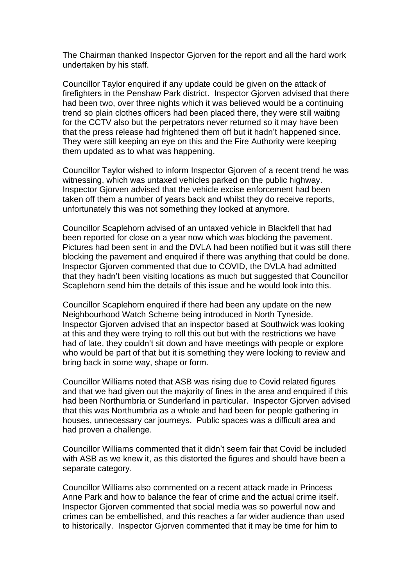The Chairman thanked Inspector Gjorven for the report and all the hard work undertaken by his staff.

Councillor Taylor enquired if any update could be given on the attack of firefighters in the Penshaw Park district. Inspector Gjorven advised that there had been two, over three nights which it was believed would be a continuing trend so plain clothes officers had been placed there, they were still waiting for the CCTV also but the perpetrators never returned so it may have been that the press release had frightened them off but it hadn't happened since. They were still keeping an eye on this and the Fire Authority were keeping them updated as to what was happening.

Councillor Taylor wished to inform Inspector Gjorven of a recent trend he was witnessing, which was untaxed vehicles parked on the public highway. Inspector Gjorven advised that the vehicle excise enforcement had been taken off them a number of years back and whilst they do receive reports, unfortunately this was not something they looked at anymore.

Councillor Scaplehorn advised of an untaxed vehicle in Blackfell that had been reported for close on a year now which was blocking the pavement. Pictures had been sent in and the DVLA had been notified but it was still there blocking the pavement and enquired if there was anything that could be done. Inspector Gjorven commented that due to COVID, the DVLA had admitted that they hadn't been visiting locations as much but suggested that Councillor Scaplehorn send him the details of this issue and he would look into this.

Councillor Scaplehorn enquired if there had been any update on the new Neighbourhood Watch Scheme being introduced in North Tyneside. Inspector Gjorven advised that an inspector based at Southwick was looking at this and they were trying to roll this out but with the restrictions we have had of late, they couldn't sit down and have meetings with people or explore who would be part of that but it is something they were looking to review and bring back in some way, shape or form.

Councillor Williams noted that ASB was rising due to Covid related figures and that we had given out the majority of fines in the area and enquired if this had been Northumbria or Sunderland in particular. Inspector Gjorven advised that this was Northumbria as a whole and had been for people gathering in houses, unnecessary car journeys. Public spaces was a difficult area and had proven a challenge.

Councillor Williams commented that it didn't seem fair that Covid be included with ASB as we knew it, as this distorted the figures and should have been a separate category.

Councillor Williams also commented on a recent attack made in Princess Anne Park and how to balance the fear of crime and the actual crime itself. Inspector Gjorven commented that social media was so powerful now and crimes can be embellished, and this reaches a far wider audience than used to historically. Inspector Gjorven commented that it may be time for him to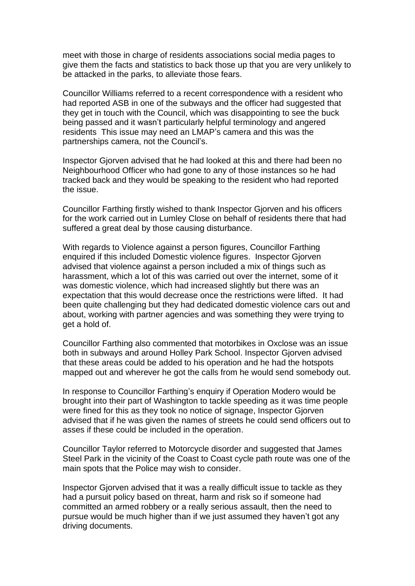meet with those in charge of residents associations social media pages to give them the facts and statistics to back those up that you are very unlikely to be attacked in the parks, to alleviate those fears.

Councillor Williams referred to a recent correspondence with a resident who had reported ASB in one of the subways and the officer had suggested that they get in touch with the Council, which was disappointing to see the buck being passed and it wasn't particularly helpful terminology and angered residents This issue may need an LMAP's camera and this was the partnerships camera, not the Council's.

Inspector Gjorven advised that he had looked at this and there had been no Neighbourhood Officer who had gone to any of those instances so he had tracked back and they would be speaking to the resident who had reported the issue.

Councillor Farthing firstly wished to thank Inspector Gjorven and his officers for the work carried out in Lumley Close on behalf of residents there that had suffered a great deal by those causing disturbance.

With regards to Violence against a person figures, Councillor Farthing enquired if this included Domestic violence figures. Inspector Gjorven advised that violence against a person included a mix of things such as harassment, which a lot of this was carried out over the internet, some of it was domestic violence, which had increased slightly but there was an expectation that this would decrease once the restrictions were lifted. It had been quite challenging but they had dedicated domestic violence cars out and about, working with partner agencies and was something they were trying to get a hold of.

Councillor Farthing also commented that motorbikes in Oxclose was an issue both in subways and around Holley Park School. Inspector Gjorven advised that these areas could be added to his operation and he had the hotspots mapped out and wherever he got the calls from he would send somebody out.

In response to Councillor Farthing's enquiry if Operation Modero would be brought into their part of Washington to tackle speeding as it was time people were fined for this as they took no notice of signage, Inspector Gjorven advised that if he was given the names of streets he could send officers out to asses if these could be included in the operation.

Councillor Taylor referred to Motorcycle disorder and suggested that James Steel Park in the vicinity of the Coast to Coast cycle path route was one of the main spots that the Police may wish to consider.

Inspector Gjorven advised that it was a really difficult issue to tackle as they had a pursuit policy based on threat, harm and risk so if someone had committed an armed robbery or a really serious assault, then the need to pursue would be much higher than if we just assumed they haven't got any driving documents.